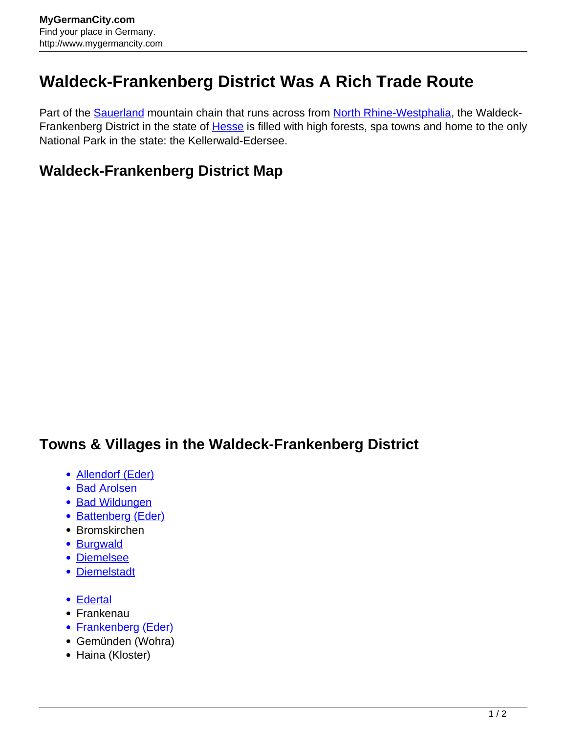## **Waldeck-Frankenberg District Was A Rich Trade Route**

Part of the **Sauerland** mountain chain that runs across from [North Rhine-Westphalia](http://www.mygermancity.com/north-rhine-westphalia), the Waldeck-Frankenberg District in the state of **Hesse** is filled with high forests, spa towns and home to the only National Park in the state: the Kellerwald-Edersee.

## **Waldeck-Frankenberg District Map**

## **Towns & Villages in the Waldeck-Frankenberg District**

- [Allendorf \(Eder\)](http://www.mygermancity.com/allendorf-eder)
- [Bad Arolsen](http://www.mygermancity.com/bad-arolsen)
- [Bad Wildungen](http://www.mygermancity.com/bad-wildungen)
- [Battenberg \(Eder\)](http://www.mygermancity.com/battenberg-eder)
- Bromskirchen
- [Burgwald](http://www.mygermancity.com/burgwald)
- [Diemelsee](http://www.mygermancity.com/diemelsee)
- [Diemelstadt](http://www.mygermancity.com/diemelstadt)
- [Edertal](http://www.mygermancity.com/edertal)
- Frankenau
- [Frankenberg \(Eder\)](http://www.mygermancity.com/frankenberg-eder)
- Gemünden (Wohra)
- Haina (Kloster)